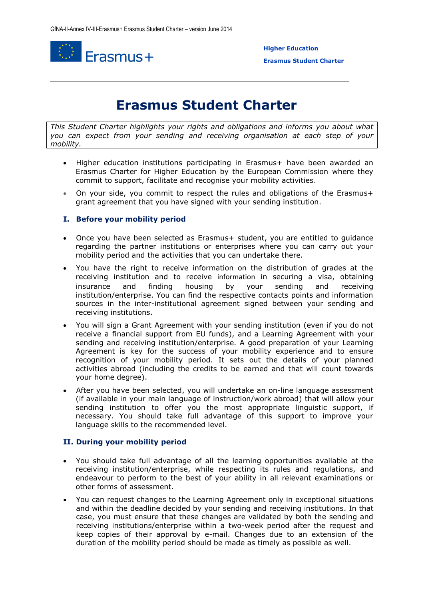

 **Higher Education** 

**Erasmus Student Charter**

# **Erasmus Student Charter**

*This Student Charter highlights your rights and obligations and informs you about what you can expect from your sending and receiving organisation at each step of your mobility.*

- Higher education institutions participating in Erasmus+ have been awarded an Erasmus Charter for Higher Education by the European Commission where they commit to support, facilitate and recognise your mobility activities.
- On your side, you commit to respect the rules and obligations of the Erasmus+ grant agreement that you have signed with your sending institution.

## **I. Before your mobility period**

- Once you have been selected as Erasmus+ student, you are entitled to guidance regarding the partner institutions or enterprises where you can carry out your mobility period and the activities that you can undertake there.
- You have the right to receive information on the distribution of grades at the receiving institution and to receive information in securing a visa, obtaining insurance and finding housing by your sending and receiving institution/enterprise. You can find the respective contacts points and information sources in the inter-institutional agreement signed between your sending and receiving institutions.
- You will sign a Grant Agreement with your sending institution (even if you do not receive a financial support from EU funds), and a Learning Agreement with your sending and receiving institution/enterprise. A good preparation of your Learning Agreement is key for the success of your mobility experience and to ensure recognition of your mobility period. It sets out the details of your planned activities abroad (including the credits to be earned and that will count towards your home degree).
- After you have been selected, you will undertake an on-line language assessment (if available in your main language of instruction/work abroad) that will allow your sending institution to offer you the most appropriate linguistic support, if necessary. You should take full advantage of this support to improve your language skills to the recommended level.

### **II. During your mobility period**

- You should take full advantage of all the learning opportunities available at the receiving institution/enterprise, while respecting its rules and regulations, and endeavour to perform to the best of your ability in all relevant examinations or other forms of assessment.
- You can request changes to the Learning Agreement only in exceptional situations and within the deadline decided by your sending and receiving institutions. In that case, you must ensure that these changes are validated by both the sending and receiving institutions/enterprise within a two-week period after the request and keep copies of their approval by e-mail. Changes due to an extension of the duration of the mobility period should be made as timely as possible as well.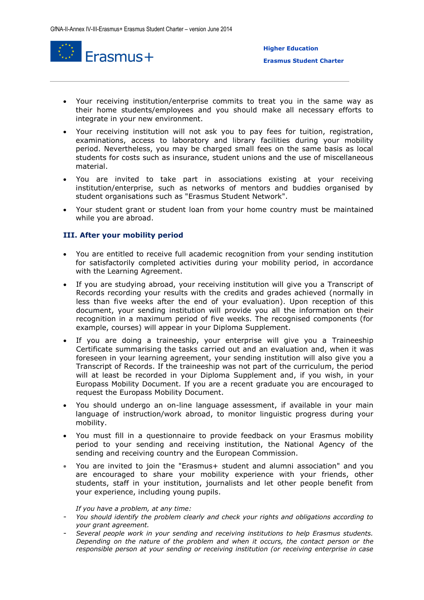

- Your receiving institution/enterprise commits to treat you in the same way as their home students/employees and you should make all necessary efforts to integrate in your new environment.
- Your receiving institution will not ask you to pay fees for tuition, registration, examinations, access to laboratory and library facilities during your mobility period. Nevertheless, you may be charged small fees on the same basis as local students for costs such as insurance, student unions and the use of miscellaneous material.
- You are invited to take part in associations existing at your receiving institution/enterprise, such as networks of mentors and buddies organised by student organisations such as "Erasmus Student Network".
- Your student grant or student loan from your home country must be maintained while you are abroad.

### **III. After your mobility period**

- You are entitled to receive full academic recognition from your sending institution for satisfactorily completed activities during your mobility period, in accordance with the Learning Agreement.
- If you are studying abroad, your receiving institution will give you a Transcript of Records recording your results with the credits and grades achieved (normally in less than five weeks after the end of your evaluation). Upon reception of this document, your sending institution will provide you all the information on their recognition in a maximum period of five weeks. The recognised components (for example, courses) will appear in your Diploma Supplement.
- If you are doing a traineeship, your enterprise will give you a Traineeship Certificate summarising the tasks carried out and an evaluation and, when it was foreseen in your learning agreement, your sending institution will also give you a Transcript of Records. If the traineeship was not part of the curriculum, the period will at least be recorded in your Diploma Supplement and, if you wish, in your Europass Mobility Document. If you are a recent graduate you are encouraged to request the Europass Mobility Document.
- You should undergo an on-line language assessment, if available in your main language of instruction/work abroad, to monitor linguistic progress during your mobility.
- You must fill in a questionnaire to provide feedback on your Erasmus mobility period to your sending and receiving institution, the National Agency of the sending and receiving country and the European Commission.
- You are invited to join the "Erasmus+ student and alumni association" and you are encouraged to share your mobility experience with your friends, other students, staff in your institution, journalists and let other people benefit from your experience, including young pupils.

#### *If you have a problem, at any time:*

- *You should identify the problem clearly and check your rights and obligations according to your grant agreement.*
- *Several people work in your sending and receiving institutions to help Erasmus students. Depending on the nature of the problem and when it occurs, the contact person or the responsible person at your sending or receiving institution (or receiving enterprise in case*